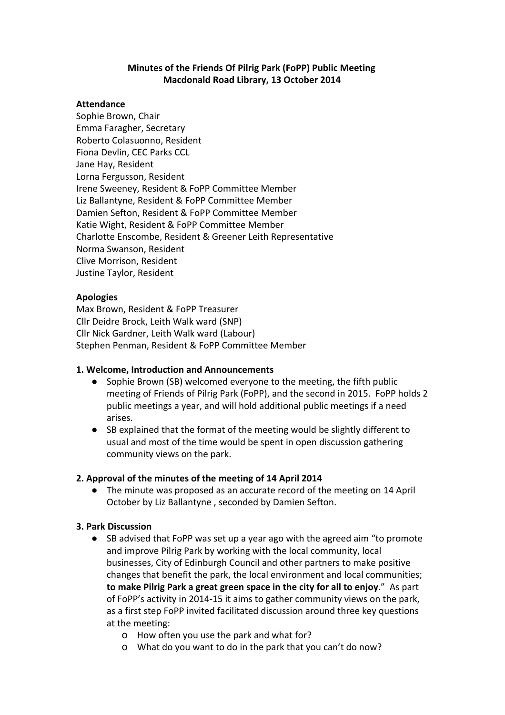### **Minutes of the Friends Of Pilrig Park (FoPP) Public Meeting Macdonald Road Library, 13 October 2014**

#### **Attendance**

Sophie Brown, Chair Emma Faragher, Secretary Roberto Colasuonno, Resident Fiona Devlin, CEC Parks CCL Jane Hay, Resident Lorna Fergusson, Resident Irene Sweeney, Resident & FoPP Committee Member Liz Ballantyne, Resident & FoPP Committee Member Damien Sefton, Resident & FoPP Committee Member Katie Wight, Resident & FoPP Committee Member Charlotte Enscombe, Resident & Greener Leith Representative Norma Swanson, Resident Clive Morrison, Resident Justine Taylor, Resident

### **Apologies**

Max Brown, Resident & FoPP Treasurer Cllr Deidre Brock, Leith Walk ward (SNP) Cllr Nick Gardner, Leith Walk ward (Labour) Stephen Penman, Resident & FoPP Committee Member

### **1. Welcome, Introduction and Announcements**

- Sophie Brown (SB) welcomed everyone to the meeting, the fifth public meeting of Friends of Pilrig Park (FoPP), and the second in 2015. FoPP holds 2 public meetings a year, and will hold additional public meetings if a need arises.
- SB explained that the format of the meeting would be slightly different to usual and most of the time would be spent in open discussion gathering community views on the park.

### **2. Approval of the minutes of the meeting of 14 April 2014**

● The minute was proposed as an accurate record of the meeting on 14 April October by Liz Ballantyne , seconded by Damien Sefton.

## **3. Park Discussion**

- SB advised that FoPP was set up a year ago with the agreed aim "to promote and improve Pilrig Park by working with the local community, local businesses, City of Edinburgh Council and other partners to make positive changes that benefit the park, the local environment and local communities; **to make Pilrig Park a great green space in the city for all to enjoy**." As part of FoPP's activity in 2014-15 it aims to gather community views on the park, as a first step FoPP invited facilitated discussion around three key questions at the meeting:
	- o How often you use the park and what for?
	- o What do you want to do in the park that you can't do now?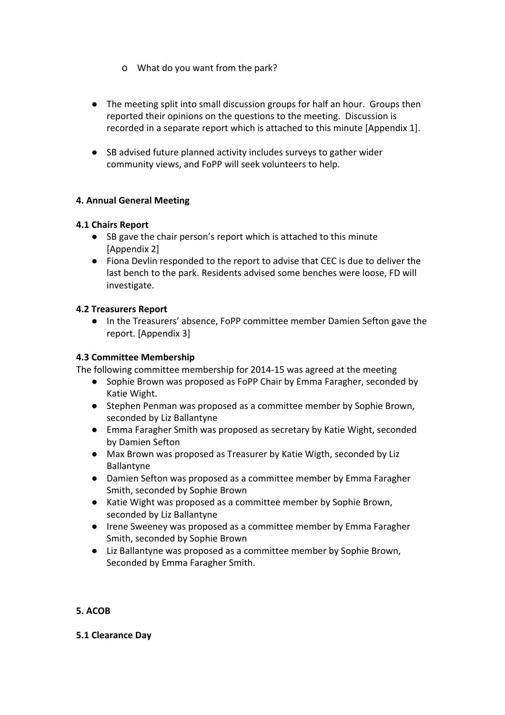- o What do you want from the park?
- The meeting split into small discussion groups for half an hour. Groups then reported their opinions on the questions to the meeting. Discussion is recorded in a separate report which is attached to this minute [Appendix 1].
- SB advised future planned activity includes surveys to gather wider community views, and FoPP will seek volunteers to help.

# **4. Annual General Meeting**

## **4.1 Chairs Report**

- SB gave the chair person's report which is attached to this minute [Appendix 2]
- Fiona Devlin responded to the report to advise that CEC is due to deliver the last bench to the park. Residents advised some benches were loose, FD will investigate.

## **4.2 Treasurers Report**

● In the Treasurers' absence, FoPP committee member Damien Sefton gave the report. [Appendix 3]

### **4.3 Committee Membership**

The following committee membership for 2014-15 was agreed at the meeting

- Sophie Brown was proposed as FoPP Chair by Emma Faragher, seconded by Katie Wight.
- Stephen Penman was proposed as a committee member by Sophie Brown, seconded by Liz Ballantyne
- Emma Faragher Smith was proposed as secretary by Katie Wight, seconded by Damien Sefton
- Max Brown was proposed as Treasurer by Katie Wigth, seconded by Liz Ballantyne
- Damien Sefton was proposed as a committee member by Emma Faragher Smith, seconded by Sophie Brown
- Katie Wight was proposed as a committee member by Sophie Brown, seconded by Liz Ballantyne
- Irene Sweeney was proposed as a committee member by Emma Faragher Smith, seconded by Sophie Brown
- Liz Ballantyne was proposed as a committee member by Sophie Brown, Seconded by Emma Faragher Smith.

## **5. ACOB**

### **5.1 Clearance Day**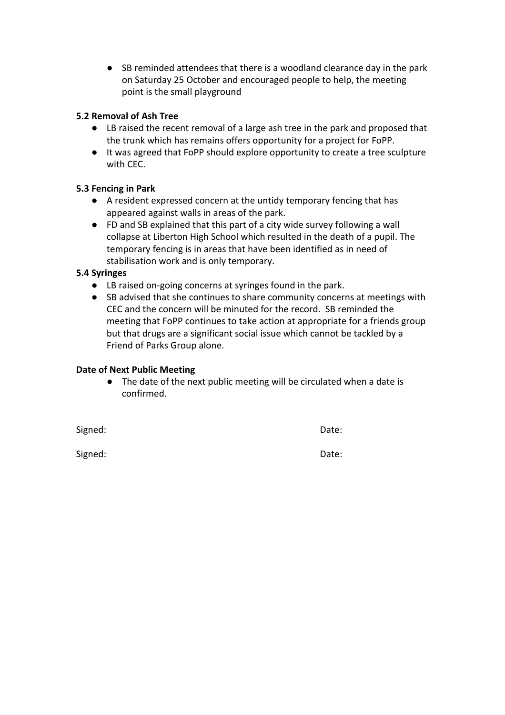● SB reminded attendees that there is a woodland clearance day in the park on Saturday 25 October and encouraged people to help, the meeting point is the small playground

## **5.2 Removal of Ash Tree**

- LB raised the recent removal of a large ash tree in the park and proposed that the trunk which has remains offers opportunity for a project for FoPP.
- It was agreed that FoPP should explore opportunity to create a tree sculpture with CEC.

# **5.3 Fencing in Park**

- A resident expressed concern at the untidy temporary fencing that has appeared against walls in areas of the park.
- FD and SB explained that this part of a city wide survey following a wall collapse at Liberton High School which resulted in the death of a pupil. The temporary fencing is in areas that have been identified as in need of stabilisation work and is only temporary.

# **5.4 Syringes**

- LB raised on-going concerns at syringes found in the park.
- SB advised that she continues to share community concerns at meetings with CEC and the concern will be minuted for the record. SB reminded the meeting that FoPP continues to take action at appropriate for a friends group but that drugs are a significant social issue which cannot be tackled by a Friend of Parks Group alone.

## **Date of Next Public Meeting**

● The date of the next public meeting will be circulated when a date is confirmed.

Signed: Date:

Signed: The Contract of the Contract of the Contract of the Date: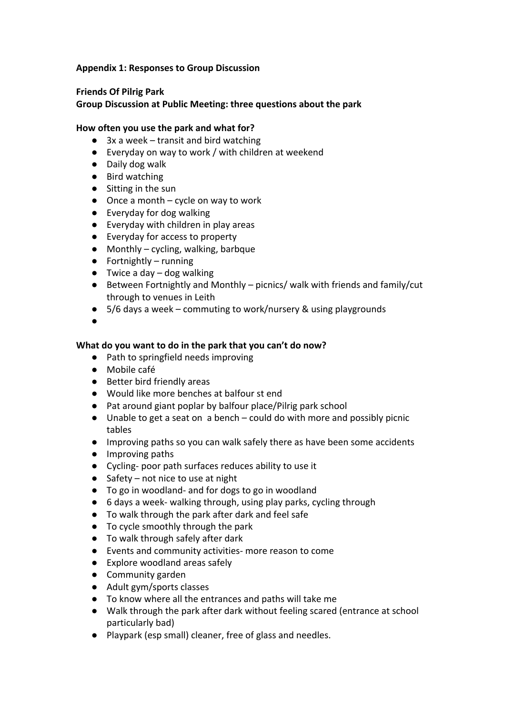### **Appendix 1: Responses to Group Discussion**

### **Friends Of Pilrig Park**

### **Group Discussion at Public Meeting: three questions about the park**

### **How often you use the park and what for?**

- $\bullet$  3x a week transit and bird watching
- Everyday on way to work / with children at weekend
- Daily dog walk
- Bird watching
- Sitting in the sun
- $\bullet$  Once a month cycle on way to work
- Everyday for dog walking
- Everyday with children in play areas
- Everyday for access to property
- Monthly cycling, walking, barbque
- Fortnightly running
- $\bullet$  Twice a day dog walking
- Between Fortnightly and Monthly picnics/ walk with friends and family/cut through to venues in Leith
- 5/6 days a week commuting to work/nursery & using playgrounds
- ●

### **What do you want to do in the park that you can't do now?**

- Path to springfield needs improving
- Mobile café
- Better bird friendly areas
- Would like more benches at balfour st end
- Pat around giant poplar by balfour place/Pilrig park school
- Unable to get a seat on a bench could do with more and possibly picnic tables
- Improving paths so you can walk safely there as have been some accidents
- Improving paths
- Cycling- poor path surfaces reduces ability to use it
- $\bullet$  Safety not nice to use at night
- To go in woodland- and for dogs to go in woodland
- 6 days a week- walking through, using play parks, cycling through
- To walk through the park after dark and feel safe
- To cycle smoothly through the park
- To walk through safely after dark
- Events and community activities- more reason to come
- Explore woodland areas safely
- Community garden
- Adult gym/sports classes
- To know where all the entrances and paths will take me
- Walk through the park after dark without feeling scared (entrance at school particularly bad)
- Playpark (esp small) cleaner, free of glass and needles.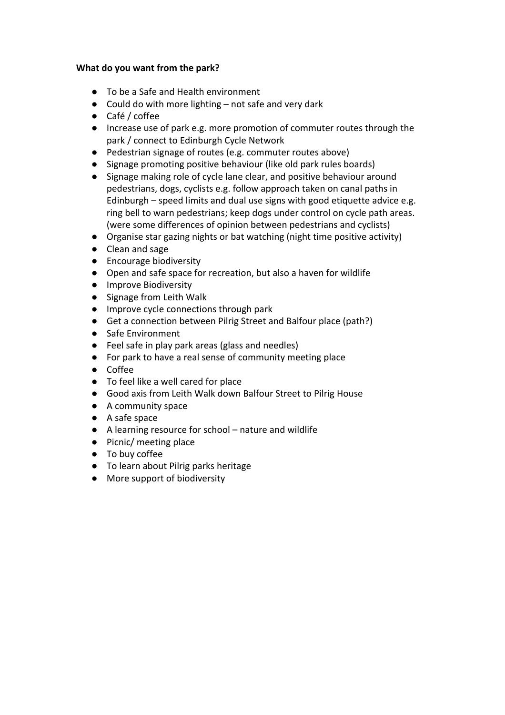### **What do you want from the park?**

- To be a Safe and Health environment
- Could do with more lighting not safe and very dark
- Café / coffee
- Increase use of park e.g. more promotion of commuter routes through the park / connect to Edinburgh Cycle Network
- Pedestrian signage of routes (e.g. commuter routes above)
- Signage promoting positive behaviour (like old park rules boards)
- Signage making role of cycle lane clear, and positive behaviour around pedestrians, dogs, cyclists e.g. follow approach taken on canal paths in Edinburgh – speed limits and dual use signs with good etiquette advice e.g. ring bell to warn pedestrians; keep dogs under control on cycle path areas. (were some differences of opinion between pedestrians and cyclists)
- Organise star gazing nights or bat watching (night time positive activity)
- Clean and sage
- Encourage biodiversity
- Open and safe space for recreation, but also a haven for wildlife
- Improve Biodiversity
- Signage from Leith Walk
- Improve cycle connections through park
- Get a connection between Pilrig Street and Balfour place (path?)
- Safe Environment
- Feel safe in play park areas (glass and needles)
- For park to have a real sense of community meeting place
- Coffee
- To feel like a well cared for place
- Good axis from Leith Walk down Balfour Street to Pilrig House
- A community space
- A safe space
- A learning resource for school nature and wildlife
- Picnic/ meeting place
- To buy coffee
- To learn about Pilrig parks heritage
- More support of biodiversity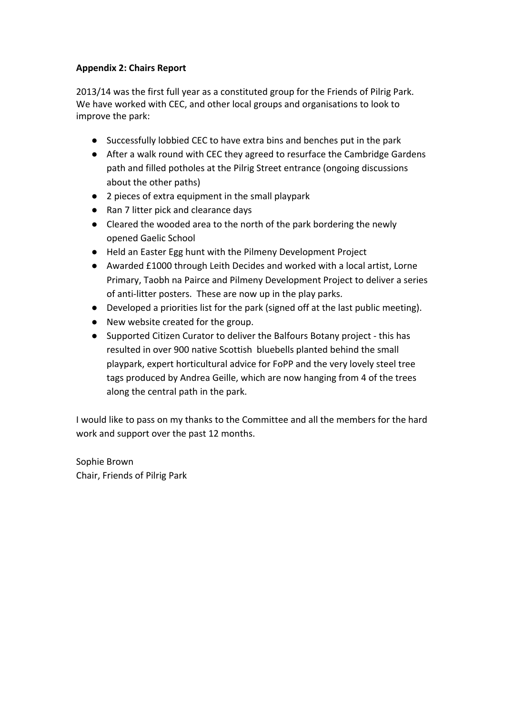# **Appendix 2: Chairs Report**

2013/14 was the first full year as a constituted group for the Friends of Pilrig Park. We have worked with CEC, and other local groups and organisations to look to improve the park:

- Successfully lobbied CEC to have extra bins and benches put in the park
- After a walk round with CEC they agreed to resurface the Cambridge Gardens path and filled potholes at the Pilrig Street entrance (ongoing discussions about the other paths)
- 2 pieces of extra equipment in the small playpark
- Ran 7 litter pick and clearance days
- Cleared the wooded area to the north of the park bordering the newly opened Gaelic School
- Held an Easter Egg hunt with the Pilmeny Development Project
- Awarded £1000 through Leith Decides and worked with a local artist, Lorne Primary, Taobh na Pairce and Pilmeny Development Project to deliver a series of anti-litter posters. These are now up in the play parks.
- Developed a priorities list for the park (signed off at the last public meeting).
- New website created for the group.
- Supported Citizen Curator to deliver the Balfours Botany project this has resulted in over 900 native Scottish bluebells planted behind the small playpark, expert horticultural advice for FoPP and the very lovely steel tree tags produced by Andrea Geille, which are now hanging from 4 of the trees along the central path in the park.

I would like to pass on my thanks to the Committee and all the members for the hard work and support over the past 12 months.

Sophie Brown Chair, Friends of Pilrig Park